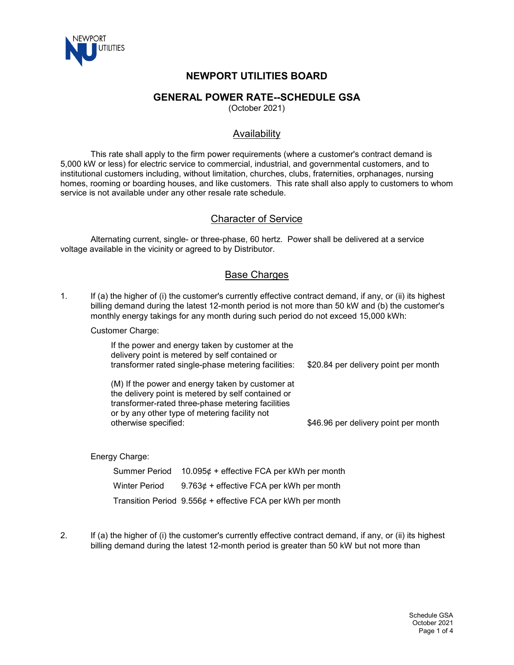

# **NEWPORT UTILITIES BOARD**

## **GENERAL POWER RATE--SCHEDULE GSA**

(October 2021)

## Availability

This rate shall apply to the firm power requirements (where a customer's contract demand is 5,000 kW or less) for electric service to commercial, industrial, and governmental customers, and to institutional customers including, without limitation, churches, clubs, fraternities, orphanages, nursing homes, rooming or boarding houses, and like customers. This rate shall also apply to customers to whom service is not available under any other resale rate schedule.

## Character of Service

Alternating current, single- or three-phase, 60 hertz. Power shall be delivered at a service voltage available in the vicinity or agreed to by Distributor.

## **Base Charges**

1. If (a) the higher of (i) the customer's currently effective contract demand, if any, or (ii) its highest billing demand during the latest 12-month period is not more than 50 kW and (b) the customer's monthly energy takings for any month during such period do not exceed 15,000 kWh:

#### Customer Charge:

| If the power and energy taken by customer at the<br>delivery point is metered by self contained or<br>transformer rated single-phase metering facilities:                                                                            | \$20.84 per delivery point per month |
|--------------------------------------------------------------------------------------------------------------------------------------------------------------------------------------------------------------------------------------|--------------------------------------|
| (M) If the power and energy taken by customer at<br>the delivery point is metered by self contained or<br>transformer-rated three-phase metering facilities<br>or by any other type of metering facility not<br>otherwise specified: | \$46.96 per delivery point per month |
|                                                                                                                                                                                                                                      |                                      |

Energy Charge:

| Summer Period | $10.095¢ +$ effective FCA per kWh per month                  |
|---------------|--------------------------------------------------------------|
| Winter Period | $9.763¢ +$ effective FCA per kWh per month                   |
|               | Transition Period $9.556¢ +$ effective FCA per kWh per month |

2. If (a) the higher of (i) the customer's currently effective contract demand, if any, or (ii) its highest billing demand during the latest 12-month period is greater than 50 kW but not more than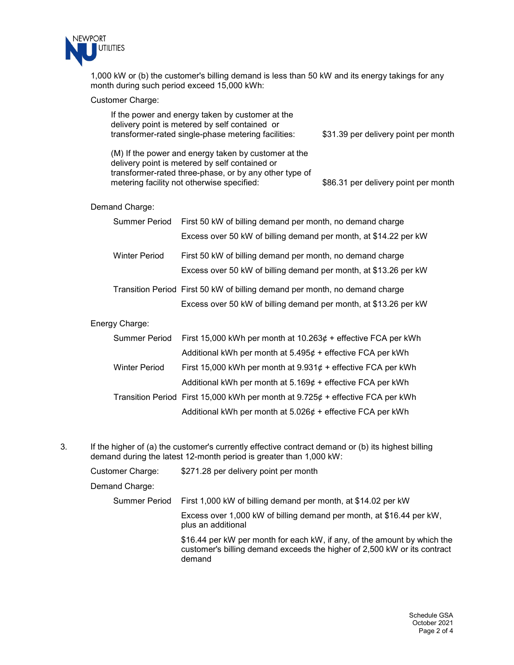

1,000 kW or (b) the customer's billing demand is less than 50 kW and its energy takings for any month during such period exceed 15,000 kWh:

#### Customer Charge:

| If the power and energy taken by customer at the |                                                                                                                                                                                                                |                                      |
|--------------------------------------------------|----------------------------------------------------------------------------------------------------------------------------------------------------------------------------------------------------------------|--------------------------------------|
|                                                  | delivery point is metered by self contained or<br>transformer-rated single-phase metering facilities:                                                                                                          | \$31.39 per delivery point per month |
|                                                  | (M) If the power and energy taken by customer at the<br>delivery point is metered by self contained or<br>transformer-rated three-phase, or by any other type of<br>metering facility not otherwise specified: | \$86.31 per delivery point per month |
| Demand Charge:                                   |                                                                                                                                                                                                                |                                      |
| <b>Summer Period</b>                             | First 50 kW of billing demand per month, no demand charge                                                                                                                                                      |                                      |
|                                                  | Excess over 50 kW of billing demand per month, at \$14.22 per kW                                                                                                                                               |                                      |
| <b>Winter Period</b>                             | First 50 kW of billing demand per month, no demand charge                                                                                                                                                      |                                      |
|                                                  | Excess over 50 kW of billing demand per month, at \$13.26 per kW                                                                                                                                               |                                      |
|                                                  | Transition Period First 50 kW of billing demand per month, no demand charge                                                                                                                                    |                                      |
|                                                  | Excess over 50 kW of billing demand per month, at \$13.26 per kW                                                                                                                                               |                                      |
| Energy Charge:                                   |                                                                                                                                                                                                                |                                      |
| <b>Summer Period</b>                             | First 15,000 kWh per month at $10.263¢ +$ effective FCA per kWh                                                                                                                                                |                                      |
|                                                  | Additional kWh per month at $5.495\phi$ + effective FCA per kWh                                                                                                                                                |                                      |
| <b>Winter Period</b>                             | First 15,000 kWh per month at $9.931¢ +$ effective FCA per kWh                                                                                                                                                 |                                      |
|                                                  | Additional kWh per month at $5.169¢ +$ effective FCA per kWh                                                                                                                                                   |                                      |
|                                                  | Transition Period First 15,000 kWh per month at $9.725¢ +$ effective FCA per kWh                                                                                                                               |                                      |

Additional kWh per month at  $5.026¢ +$  effective FCA per kWh

3. If the higher of (a) the customer's currently effective contract demand or (b) its highest billing demand during the latest 12-month period is greater than 1,000 kW:

| Customer Charge: | \$271.28 per delivery point per month                                                                                                                          |
|------------------|----------------------------------------------------------------------------------------------------------------------------------------------------------------|
| Demand Charge:   |                                                                                                                                                                |
| Summer Period    | First 1,000 kW of billing demand per month, at \$14.02 per kW                                                                                                  |
|                  | Excess over 1,000 kW of billing demand per month, at \$16.44 per kW,<br>plus an additional                                                                     |
|                  | \$16.44 per kW per month for each kW, if any, of the amount by which the<br>customer's billing demand exceeds the higher of 2,500 kW or its contract<br>demand |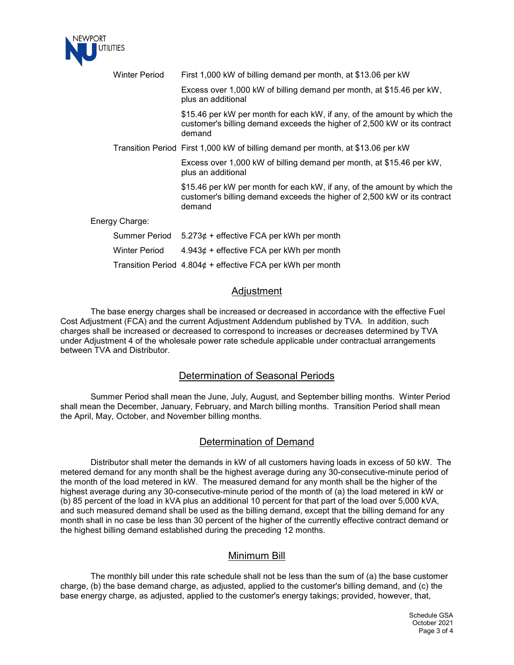

|  | <b>Winter Period</b>                                                                                                                                           | First 1,000 kW of billing demand per month, at \$13.06 per kW                                                                                                  |
|--|----------------------------------------------------------------------------------------------------------------------------------------------------------------|----------------------------------------------------------------------------------------------------------------------------------------------------------------|
|  |                                                                                                                                                                | Excess over 1,000 kW of billing demand per month, at \$15.46 per kW,<br>plus an additional                                                                     |
|  | \$15.46 per kW per month for each kW, if any, of the amount by which the<br>customer's billing demand exceeds the higher of 2,500 kW or its contract<br>demand |                                                                                                                                                                |
|  |                                                                                                                                                                | Transition Period First 1,000 kW of billing demand per month, at \$13.06 per kW                                                                                |
|  |                                                                                                                                                                | Excess over 1,000 kW of billing demand per month, at \$15.46 per kW,<br>plus an additional                                                                     |
|  |                                                                                                                                                                | \$15.46 per kW per month for each kW, if any, of the amount by which the<br>customer's billing demand exceeds the higher of 2,500 kW or its contract<br>demand |
|  | Energy Charge:                                                                                                                                                 |                                                                                                                                                                |
|  | Summer Period                                                                                                                                                  | $5.273¢ +$ effective FCA per kWh per month                                                                                                                     |
|  | <b>Winter Period</b>                                                                                                                                           | $4.943¢ +$ effective FCA per kWh per month                                                                                                                     |
|  |                                                                                                                                                                | Transition Period $4.804¢ +$ effective FCA per kWh per month                                                                                                   |

### Adjustment

The base energy charges shall be increased or decreased in accordance with the effective Fuel Cost Adjustment (FCA) and the current Adjustment Addendum published by TVA. In addition, such charges shall be increased or decreased to correspond to increases or decreases determined by TVA under Adjustment 4 of the wholesale power rate schedule applicable under contractual arrangements between TVA and Distributor.

### Determination of Seasonal Periods

Summer Period shall mean the June, July, August, and September billing months. Winter Period shall mean the December, January, February, and March billing months. Transition Period shall mean the April, May, October, and November billing months.

#### Determination of Demand

Distributor shall meter the demands in kW of all customers having loads in excess of 50 kW. The metered demand for any month shall be the highest average during any 30-consecutive-minute period of the month of the load metered in kW. The measured demand for any month shall be the higher of the highest average during any 30-consecutive-minute period of the month of (a) the load metered in kW or (b) 85 percent of the load in kVA plus an additional 10 percent for that part of the load over 5,000 kVA, and such measured demand shall be used as the billing demand, except that the billing demand for any month shall in no case be less than 30 percent of the higher of the currently effective contract demand or the highest billing demand established during the preceding 12 months.

## Minimum Bill

The monthly bill under this rate schedule shall not be less than the sum of (a) the base customer charge, (b) the base demand charge, as adjusted, applied to the customer's billing demand, and (c) the base energy charge, as adjusted, applied to the customer's energy takings; provided, however, that,